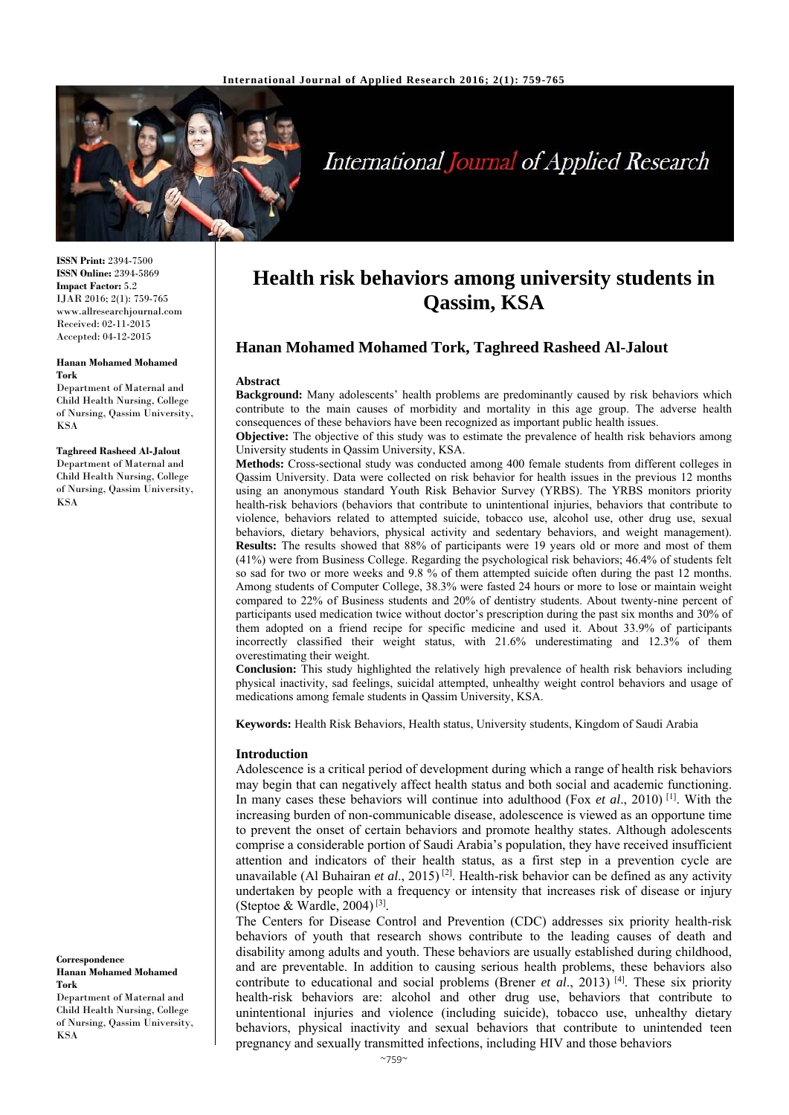

# International Journal of Applied Research

**ISSN Print:** 2394-7500 **ISSN Online:** 2394-5869 **Impact Factor:** 5.2 IJAR 2016; 2(1): 759-765 www.allresearchjournal.com Received: 02-11-2015 Accepted: 04-12-2015

#### **Hanan Mohamed Mohamed Tork**

Department of Maternal and Child Health Nursing, College of Nursing, Qassim University, KSA

**Taghreed Rasheed Al-Jalout**  Department of Maternal and Child Health Nursing, College of Nursing, Qassim University, KSA

**Correspondence Hanan Mohamed Mohamed Tork** 

Department of Maternal and Child Health Nursing, College of Nursing, Qassim University, KSA

# **Health risk behaviors among university students in Qassim, KSA**

# **Hanan Mohamed Mohamed Tork, Taghreed Rasheed Al-Jalout**

#### **Abstract**

**Background:** Many adolescents' health problems are predominantly caused by risk behaviors which contribute to the main causes of morbidity and mortality in this age group. The adverse health consequences of these behaviors have been recognized as important public health issues.

**Objective:** The objective of this study was to estimate the prevalence of health risk behaviors among University students in Qassim University, KSA.

**Methods:** Cross-sectional study was conducted among 400 female students from different colleges in Qassim University. Data were collected on risk behavior for health issues in the previous 12 months using an anonymous standard Youth Risk Behavior Survey (YRBS). The YRBS monitors priority health-risk behaviors (behaviors that contribute to unintentional injuries, behaviors that contribute to violence, behaviors related to attempted suicide, tobacco use, alcohol use, other drug use, sexual behaviors, dietary behaviors, physical activity and sedentary behaviors, and weight management). **Results:** The results showed that 88% of participants were 19 years old or more and most of them (41%) were from Business College. Regarding the psychological risk behaviors; 46.4% of students felt so sad for two or more weeks and 9.8 % of them attempted suicide often during the past 12 months. Among students of Computer College, 38.3% were fasted 24 hours or more to lose or maintain weight compared to 22% of Business students and 20% of dentistry students. About twenty-nine percent of participants used medication twice without doctor's prescription during the past six months and 30% of them adopted on a friend recipe for specific medicine and used it. About 33.9% of participants incorrectly classified their weight status, with 21.6% underestimating and 12.3% of them overestimating their weight.

**Conclusion:** This study highlighted the relatively high prevalence of health risk behaviors including physical inactivity, sad feelings, suicidal attempted, unhealthy weight control behaviors and usage of medications among female students in Qassim University, KSA.

**Keywords:** Health Risk Behaviors, Health status, University students, Kingdom of Saudi Arabia

#### **Introduction**

Adolescence is a critical period of development during which a range of health risk behaviors may begin that can negatively affect health status and both social and academic functioning. In many cases these behaviors will continue into adulthood (Fox *et al*., 2010) [1]. With the increasing burden of non-communicable disease, adolescence is viewed as an opportune time to prevent the onset of certain behaviors and promote healthy states. Although adolescents comprise a considerable portion of Saudi Arabia's population, they have received insufficient attention and indicators of their health status, as a first step in a prevention cycle are unavailable (Al Buhairan *et al*., 2015) [2]. Health-risk behavior can be defined as any activity undertaken by people with a frequency or intensity that increases risk of disease or injury (Steptoe & Wardle, 2004)<sup>[3]</sup>.

The Centers for Disease Control and Prevention (CDC) addresses six priority health-risk behaviors of youth that research shows contribute to the leading causes of death and disability among adults and youth. These behaviors are usually established during childhood, and are preventable. In addition to causing serious health problems, these behaviors also contribute to educational and social problems (Brener *et al.*, 2013)<sup>[4]</sup>. These six priority health-risk behaviors are: alcohol and other drug use, behaviors that contribute to unintentional injuries and violence (including suicide), tobacco use, unhealthy dietary behaviors, physical inactivity and sexual behaviors that contribute to unintended teen pregnancy and sexually transmitted infections, including HIV and those behaviors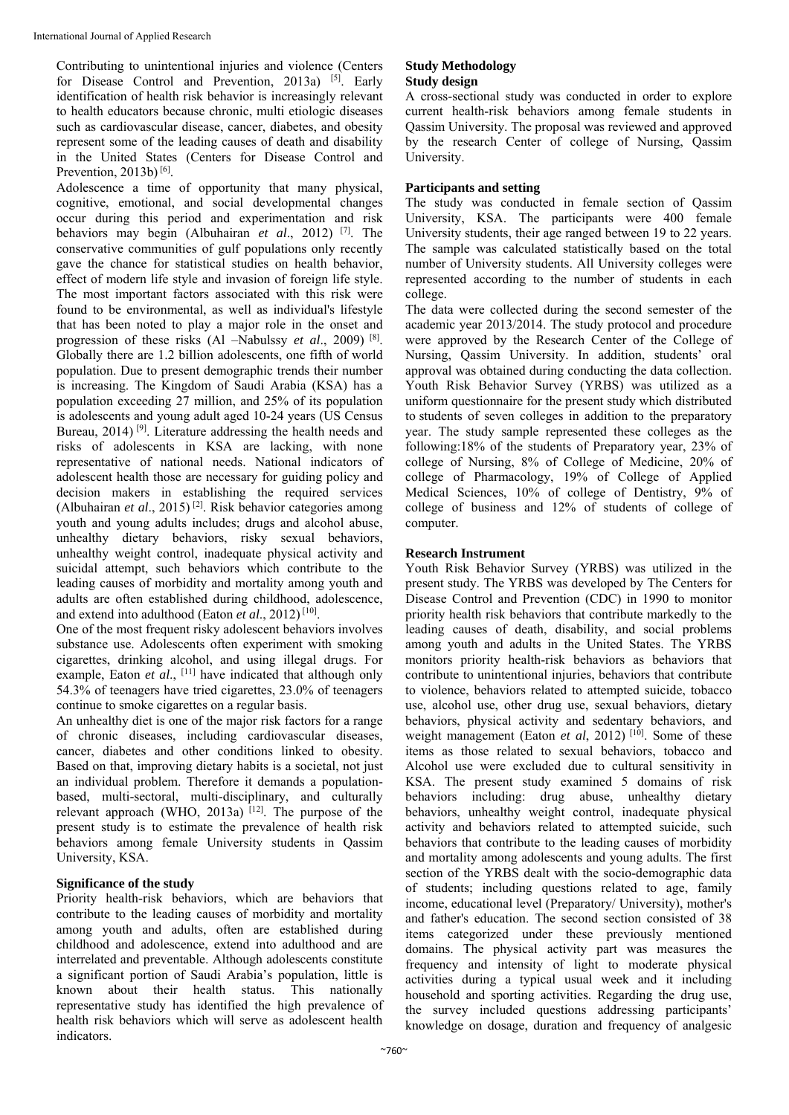Contributing to unintentional injuries and violence (Centers for Disease Control and Prevention, 2013a) [5]. Early identification of health risk behavior is increasingly relevant to health educators because chronic, multi etiologic diseases such as cardiovascular disease, cancer, diabetes, and obesity represent some of the leading causes of death and disability in the United States (Centers for Disease Control and Prevention, 2013b) [6].

Adolescence a time of opportunity that many physical, cognitive, emotional, and social developmental changes occur during this period and experimentation and risk behaviors may begin (Albuhairan *et al*., 2012) [7]. The conservative communities of gulf populations only recently gave the chance for statistical studies on health behavior, effect of modern life style and invasion of foreign life style. The most important factors associated with this risk were found to be environmental, as well as individual's lifestyle that has been noted to play a major role in the onset and progression of these risks (Al –Nabulssy *et al*., 2009) [8]. Globally there are 1.2 billion adolescents, one fifth of world population. Due to present demographic trends their number is increasing. The Kingdom of Saudi Arabia (KSA) has a population exceeding 27 million, and 25% of its population is adolescents and young adult aged 10-24 years (US Census Bureau, 2014)<sup>[9]</sup>. Literature addressing the health needs and risks of adolescents in KSA are lacking, with none representative of national needs. National indicators of adolescent health those are necessary for guiding policy and decision makers in establishing the required services (Albuhairan *et al*., 2015) [2]. Risk behavior categories among youth and young adults includes; drugs and alcohol abuse, unhealthy dietary behaviors, risky sexual behaviors, unhealthy weight control, inadequate physical activity and suicidal attempt, such behaviors which contribute to the leading causes of morbidity and mortality among youth and adults are often established during childhood, adolescence, and extend into adulthood (Eaton *et al*., 2012) [10].

One of the most frequent risky adolescent behaviors involves substance use. Adolescents often experiment with smoking cigarettes, drinking alcohol, and using illegal drugs. For example, Eaton *et al.*, <sup>[11]</sup> have indicated that although only 54.3% of teenagers have tried cigarettes, 23.0% of teenagers continue to smoke cigarettes on a regular basis.

An unhealthy diet is one of the major risk factors for a range of chronic diseases, including cardiovascular diseases, cancer, diabetes and other conditions linked to obesity. Based on that, improving dietary habits is a societal, not just an individual problem. Therefore it demands a populationbased, multi-sectoral, multi-disciplinary, and culturally relevant approach (WHO, 2013a)  $[12]$ . The purpose of the present study is to estimate the prevalence of health risk behaviors among female University students in Qassim University, KSA.

# **Significance of the study**

Priority health-risk behaviors, which are behaviors that contribute to the leading causes of morbidity and mortality among youth and adults, often are established during childhood and adolescence, extend into adulthood and are interrelated and preventable. Although adolescents constitute a significant portion of Saudi Arabia's population, little is known about their health status. This nationally representative study has identified the high prevalence of health risk behaviors which will serve as adolescent health indicators.

# **Study Methodology Study design**

A cross-sectional study was conducted in order to explore current health-risk behaviors among female students in Qassim University. The proposal was reviewed and approved by the research Center of college of Nursing, Qassim University.

# **Participants and setting**

The study was conducted in female section of Qassim University, KSA. The participants were 400 female University students, their age ranged between 19 to 22 years. The sample was calculated statistically based on the total number of University students. All University colleges were represented according to the number of students in each college.

The data were collected during the second semester of the academic year 2013/2014. The study protocol and procedure were approved by the Research Center of the College of Nursing, Qassim University. In addition, students' oral approval was obtained during conducting the data collection. Youth Risk Behavior Survey (YRBS) was utilized as a uniform questionnaire for the present study which distributed to students of seven colleges in addition to the preparatory year. The study sample represented these colleges as the following:18% of the students of Preparatory year, 23% of college of Nursing, 8% of College of Medicine, 20% of college of Pharmacology, 19% of College of Applied Medical Sciences, 10% of college of Dentistry, 9% of college of business and 12% of students of college of computer.

# **Research Instrument**

Youth Risk Behavior Survey (YRBS) was utilized in the present study. The YRBS was developed by The Centers for Disease Control and Prevention (CDC) in 1990 to monitor priority health risk behaviors that contribute markedly to the leading causes of death, disability, and social problems among youth and adults in the United States. The YRBS monitors priority health-risk behaviors as behaviors that contribute to unintentional injuries, behaviors that contribute to violence, behaviors related to attempted suicide, tobacco use, alcohol use, other drug use, sexual behaviors, dietary behaviors, physical activity and sedentary behaviors, and weight management (Eaton *et al*, 2012)<sup>[10]</sup>. Some of these items as those related to sexual behaviors, tobacco and Alcohol use were excluded due to cultural sensitivity in KSA. The present study examined 5 domains of risk behaviors including: drug abuse, unhealthy dietary behaviors, unhealthy weight control, inadequate physical activity and behaviors related to attempted suicide, such behaviors that contribute to the leading causes of morbidity and mortality among adolescents and young adults. The first section of the YRBS dealt with the socio-demographic data of students; including questions related to age, family income, educational level (Preparatory/ University), mother's and father's education. The second section consisted of 38 items categorized under these previously mentioned domains. The physical activity part was measures the frequency and intensity of light to moderate physical activities during a typical usual week and it including household and sporting activities. Regarding the drug use, the survey included questions addressing participants' knowledge on dosage, duration and frequency of analgesic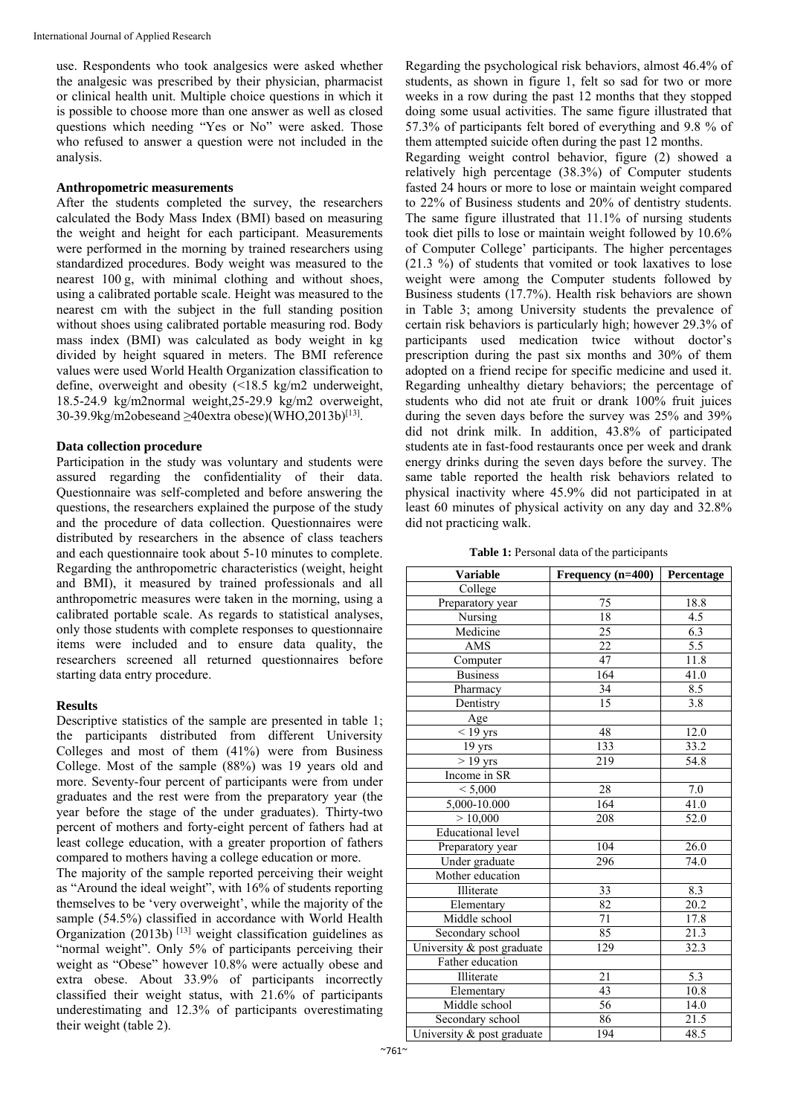use. Respondents who took analgesics were asked whether the analgesic was prescribed by their physician, pharmacist or clinical health unit. Multiple choice questions in which it is possible to choose more than one answer as well as closed questions which needing "Yes or No" were asked. Those who refused to answer a question were not included in the analysis.

#### **Anthropometric measurements**

After the students completed the survey, the researchers calculated the Body Mass Index (BMI) based on measuring the weight and height for each participant. Measurements were performed in the morning by trained researchers using standardized procedures. Body weight was measured to the nearest 100 g, with minimal clothing and without shoes, using a calibrated portable scale. Height was measured to the nearest cm with the subject in the full standing position without shoes using calibrated portable measuring rod. Body mass index (BMI) was calculated as body weight in kg divided by height squared in meters. The BMI reference values were used World Health Organization classification to define, overweight and obesity (<18.5 kg/m2 underweight, 18.5-24.9 kg/m2normal weight,25-29.9 kg/m2 overweight, 30-39.9kg/m2obeseand >40extra obese)(WHO.2013b)<sup>[13]</sup>.

### **Data collection procedure**

Participation in the study was voluntary and students were assured regarding the confidentiality of their data. Questionnaire was self-completed and before answering the questions, the researchers explained the purpose of the study and the procedure of data collection. Questionnaires were distributed by researchers in the absence of class teachers and each questionnaire took about 5-10 minutes to complete. Regarding the anthropometric characteristics (weight, height and BMI), it measured by trained professionals and all anthropometric measures were taken in the morning, using a calibrated portable scale. As regards to statistical analyses, only those students with complete responses to questionnaire items were included and to ensure data quality, the researchers screened all returned questionnaires before starting data entry procedure.

#### **Results**

Descriptive statistics of the sample are presented in table 1; the participants distributed from different University Colleges and most of them (41%) were from Business College. Most of the sample (88%) was 19 years old and more. Seventy-four percent of participants were from under graduates and the rest were from the preparatory year (the year before the stage of the under graduates). Thirty-two percent of mothers and forty-eight percent of fathers had at least college education, with a greater proportion of fathers compared to mothers having a college education or more.

The majority of the sample reported perceiving their weight as "Around the ideal weight", with 16% of students reporting themselves to be 'very overweight', while the majority of the sample (54.5%) classified in accordance with World Health Organization (2013b)  $[13]$  weight classification guidelines as "normal weight". Only 5% of participants perceiving their weight as "Obese" however 10.8% were actually obese and extra obese. About 33.9% of participants incorrectly classified their weight status, with 21.6% of participants underestimating and 12.3% of participants overestimating their weight (table 2).

Regarding the psychological risk behaviors, almost 46.4% of students, as shown in figure 1, felt so sad for two or more weeks in a row during the past 12 months that they stopped doing some usual activities. The same figure illustrated that 57.3% of participants felt bored of everything and 9.8 % of them attempted suicide often during the past 12 months.

Regarding weight control behavior, figure (2) showed a relatively high percentage (38.3%) of Computer students fasted 24 hours or more to lose or maintain weight compared to 22% of Business students and 20% of dentistry students. The same figure illustrated that 11.1% of nursing students took diet pills to lose or maintain weight followed by 10.6% of Computer College' participants. The higher percentages (21.3 %) of students that vomited or took laxatives to lose weight were among the Computer students followed by Business students (17.7%). Health risk behaviors are shown in Table 3; among University students the prevalence of certain risk behaviors is particularly high; however 29.3% of participants used medication twice without doctor's prescription during the past six months and 30% of them adopted on a friend recipe for specific medicine and used it. Regarding unhealthy dietary behaviors; the percentage of students who did not ate fruit or drank 100% fruit juices during the seven days before the survey was 25% and 39% did not drink milk. In addition, 43.8% of participated students ate in fast-food restaurants once per week and drank energy drinks during the seven days before the survey. The same table reported the health risk behaviors related to physical inactivity where 45.9% did not participated in at least 60 minutes of physical activity on any day and 32.8% did not practicing walk.

| Table 1: Personal data of the participants |  |  |  |  |
|--------------------------------------------|--|--|--|--|
|--------------------------------------------|--|--|--|--|

| <b>Variable</b>            | Frequency (n=400) | Percentage       |  |
|----------------------------|-------------------|------------------|--|
| College                    |                   |                  |  |
| Preparatory year           | 75                | 18.8             |  |
| Nursing                    | 18                | 4.5              |  |
| Medicine                   | $\overline{25}$   | 6.3              |  |
| AMS                        | 22                | $\overline{5.5}$ |  |
| Computer                   | 47                | 11.8             |  |
| <b>Business</b>            | 164               | 41.0             |  |
| Pharmacy                   | 34                | 8.5              |  |
| Dentistry                  | $\overline{15}$   | $\overline{3.8}$ |  |
| Age                        |                   |                  |  |
| $<$ 19 yrs                 | 48                | 12.0             |  |
| 19 <sub>yrs</sub>          | 133               | 33.2             |  |
| $>19$ yrs                  | 219               | 54.8             |  |
| Income in SR               |                   |                  |  |
| < 5,000                    | 28                | 7.0              |  |
| 5,000-10.000               | 164               | 41.0             |  |
| >10,000                    | 208               | 52.0             |  |
| <b>Educational level</b>   |                   |                  |  |
| Preparatory year           | 104               | 26.0             |  |
| Under graduate             | 296               | 74.0             |  |
| Mother education           |                   |                  |  |
| Illiterate                 | 33                | 8.3              |  |
| Elementary                 | 82                | 20.2             |  |
| Middle school              | 71                | 17.8             |  |
| Secondary school           | 85                | 21.3             |  |
| University & post graduate | 129               | 32.3             |  |
| Father education           |                   |                  |  |
| Illiterate                 | $\overline{21}$   | 5.3              |  |
| Elementary                 | 43                | 10.8             |  |
| Middle school              | $\overline{56}$   | 14.0             |  |
| Secondary school           | 86                | 21.5             |  |
| University & post graduate | 194               | 48.5             |  |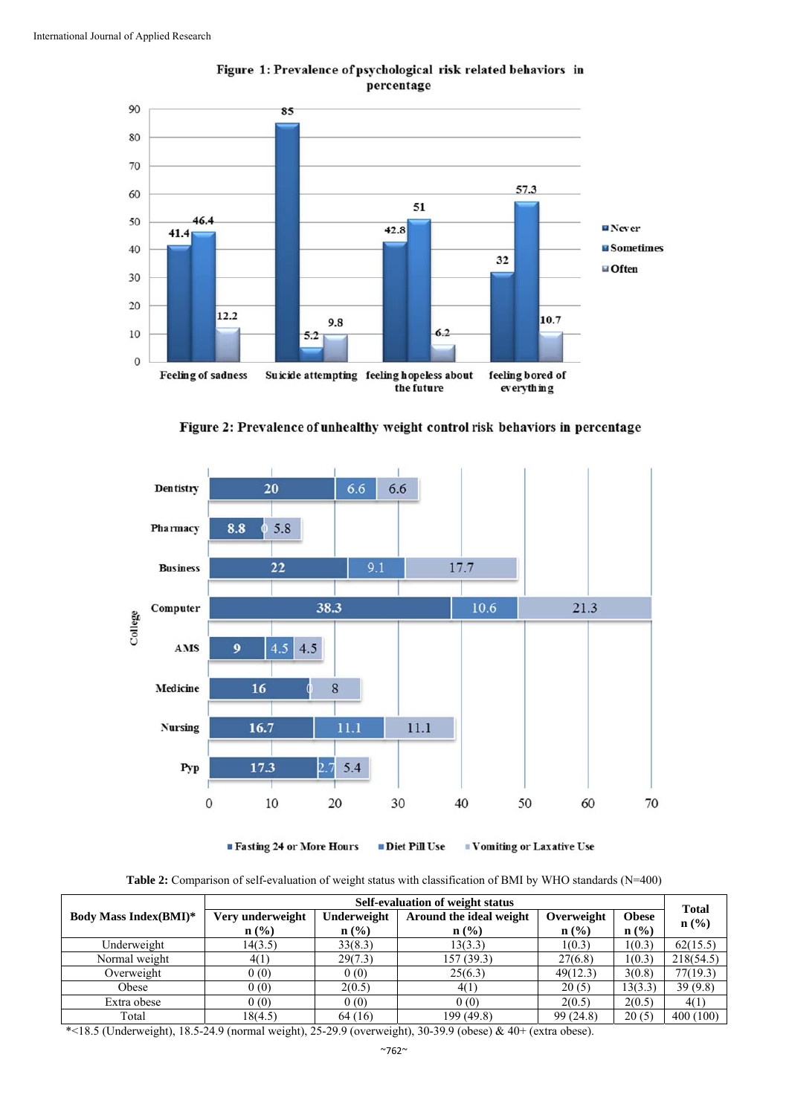



Figure 2: Prevalence of unhealthy weight control risk behaviors in percentage



■ Fasting 24 or More Hours

 $\blacksquare$  <br> Diet Pill Use  $\blacksquare$  Vomiting or Laxative Use

**Table 2:** Comparison of self-evaluation of weight status with classification of BMI by WHO standards (N=400)

|                               | Self-evaluation of weight status |                             |                         |            |                  | <b>Total</b>                |
|-------------------------------|----------------------------------|-----------------------------|-------------------------|------------|------------------|-----------------------------|
| <b>Body Mass Index (BMI)*</b> | Very underweight                 | Underweight                 | Around the ideal weight | Overweight | <b>Obese</b>     | $n\left(\frac{0}{0}\right)$ |
|                               | $n$ (%)                          | $n\left(\frac{0}{0}\right)$ | $\mathbf{n}(\%)$        | $n$ (%)    | $\mathbf{n}(\%)$ |                             |
| Underweight                   | 14(3.5)                          | 33(8.3)                     | 13(3.3)                 | 1(0.3)     | 1(0.3)           | 62(15.5)                    |
| Normal weight                 | 4(1)                             | 29(7.3)                     | 157 (39.3)              | 27(6.8)    | 1(0.3)           | 218(54.5)                   |
| Overweight                    | 0(0)                             | 0(0)                        | 25(6.3)                 | 49(12.3)   | 3(0.8)           | 77(19.3)                    |
| Obese                         | 0(0)                             | 2(0.5)                      | 4(1)                    | 20(5)      | 13(3.3)          | 39(9.8)                     |
| Extra obese                   | 0(0)                             | 0(0)                        | 0(0)                    | 2(0.5)     | 2(0.5)           | 4(1)                        |
| Total                         | 18(4.5)                          | 64 (16)                     | 199 (49.8)              | 99(24.8)   | 20(5)            | 400(100)                    |

\*<18.5 (Underweight), 18.5-24.9 (normal weight), 25-29.9 (overweight), 30-39.9 (obese) & 40+ (extra obese).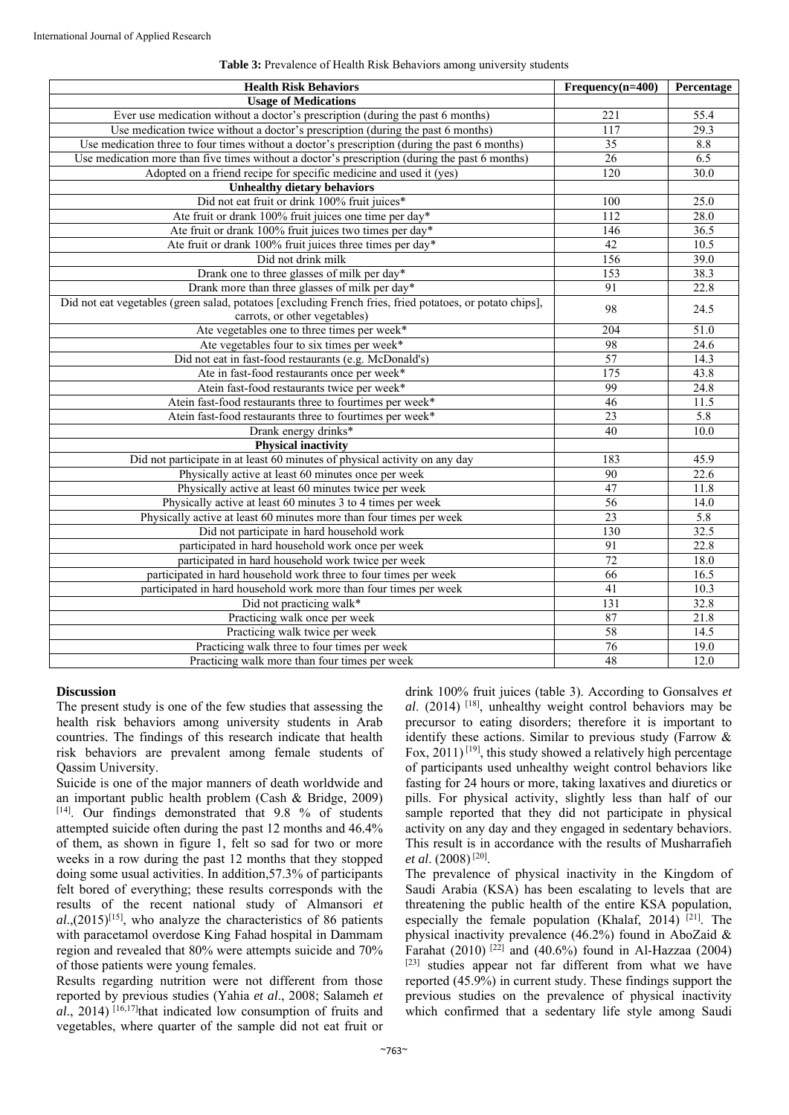| <b>Health Risk Behaviors</b>                                                                             | $Frequency(n=400)$ | Percentage        |
|----------------------------------------------------------------------------------------------------------|--------------------|-------------------|
| <b>Usage of Medications</b>                                                                              |                    |                   |
| Ever use medication without a doctor's prescription (during the past 6 months)                           | 221                | 55.4              |
| Use medication twice without a doctor's prescription (during the past 6 months)                          | 117                | $29.\overline{3}$ |
| Use medication three to four times without a doctor's prescription (during the past 6 months)            | 35                 | 8.8               |
| Use medication more than five times without a doctor's prescription (during the past 6 months)           | $\overline{26}$    | 6.5               |
| Adopted on a friend recipe for specific medicine and used it (yes)                                       | 120                | 30.0              |
| <b>Unhealthy dietary behaviors</b>                                                                       |                    |                   |
| Did not eat fruit or drink 100% fruit juices*                                                            | 100                | 25.0              |
| Ate fruit or drank 100% fruit juices one time per day*                                                   | 112                | 28.0              |
| Ate fruit or drank 100% fruit juices two times per day*                                                  | 146                | 36.5              |
| Ate fruit or drank 100% fruit juices three times per day*                                                | 42                 | 10.5              |
| Did not drink milk                                                                                       | 156                | 39.0              |
| Drank one to three glasses of milk per day*                                                              | 153                | 38.3              |
| Drank more than three glasses of milk per day*                                                           | 91                 | 22.8              |
| Did not eat vegetables (green salad, potatoes [excluding French fries, fried potatoes, or potato chips], | 98                 |                   |
| carrots, or other vegetables)                                                                            |                    | 24.5              |
| Ate vegetables one to three times per week*                                                              | 204                | 51.0              |
| Ate vegetables four to six times per week*                                                               | 98                 | 24.6              |
| Did not eat in fast-food restaurants (e.g. McDonald's)                                                   | $\overline{57}$    | 14.3              |
| Ate in fast-food restaurants once per week*                                                              | 175                | 43.8              |
| Atein fast-food restaurants twice per week*                                                              | 99                 | 24.8              |
| Atein fast-food restaurants three to fourtimes per week*                                                 | 46                 | 11.5              |
| Atein fast-food restaurants three to fourtimes per week*                                                 | $\overline{23}$    | 5.8               |
| Drank energy drinks*                                                                                     | 40                 | 10.0              |
| <b>Physical inactivity</b>                                                                               |                    |                   |
| Did not participate in at least 60 minutes of physical activity on any day                               | 183                | 45.9              |
| Physically active at least 60 minutes once per week                                                      | 90                 | 22.6              |
| Physically active at least 60 minutes twice per week                                                     | 47                 | 11.8              |
| Physically active at least 60 minutes 3 to 4 times per week                                              | 56                 | $\overline{14.0}$ |
| Physically active at least 60 minutes more than four times per week                                      | $\overline{23}$    | 5.8               |
| Did not participate in hard household work                                                               | 130                | 32.5              |
| participated in hard household work once per week                                                        | 91                 | 22.8              |
| participated in hard household work twice per week                                                       | 72                 | 18.0              |
| participated in hard household work three to four times per week                                         | $\overline{66}$    | 16.5              |
| participated in hard household work more than four times per week                                        | $\overline{41}$    | 10.3              |
| Did not practicing walk*                                                                                 | $\overline{131}$   | 32.8              |
| Practicing walk once per week                                                                            | 87                 | 21.8              |
| Practicing walk twice per week                                                                           | 58                 | 14.5              |
| Practicing walk three to four times per week                                                             | 76                 | 19.0              |
| Practicing walk more than four times per week                                                            | 48                 | 12.0              |

### **Table 3:** Prevalence of Health Risk Behaviors among university students

#### **Discussion**

The present study is one of the few studies that assessing the health risk behaviors among university students in Arab countries. The findings of this research indicate that health risk behaviors are prevalent among female students of Qassim University.

Suicide is one of the major manners of death worldwide and an important public health problem (Cash & Bridge, 2009) [14]. Our findings demonstrated that 9.8 % of students attempted suicide often during the past 12 months and 46.4% of them, as shown in figure 1, felt so sad for two or more weeks in a row during the past 12 months that they stopped doing some usual activities. In addition,57.3% of participants felt bored of everything; these results corresponds with the results of the recent national study of Almansori *et*   $al$ <sub>,</sub> $(2015)^{[15]}$ , who analyze the characteristics of 86 patients with paracetamol overdose King Fahad hospital in Dammam region and revealed that 80% were attempts suicide and 70% of those patients were young females.

Results regarding nutrition were not different from those reported by previous studies (Yahia *et al*., 2008; Salameh *et al.*, 2014) <sup>[16,17]</sup>that indicated low consumption of fruits and vegetables, where quarter of the sample did not eat fruit or drink 100% fruit juices (table 3). According to Gonsalves *et al*. (2014) [18], unhealthy weight control behaviors may be precursor to eating disorders; therefore it is important to identify these actions. Similar to previous study (Farrow & Fox,  $2011$ <sup>[19]</sup>, this study showed a relatively high percentage of participants used unhealthy weight control behaviors like fasting for 24 hours or more, taking laxatives and diuretics or pills. For physical activity, slightly less than half of our sample reported that they did not participate in physical activity on any day and they engaged in sedentary behaviors. This result is in accordance with the results of Musharrafieh *et al*. (2008) [20].

The prevalence of physical inactivity in the Kingdom of Saudi Arabia (KSA) has been escalating to levels that are threatening the public health of the entire KSA population, especially the female population (Khalaf, 2014)  $[21]$ . The physical inactivity prevalence (46.2%) found in AboZaid & Farahat (2010)  $[2^{2}]$  and (40.6%) found in Al-Hazzaa (2004) [23] studies appear not far different from what we have reported (45.9%) in current study. These findings support the previous studies on the prevalence of physical inactivity which confirmed that a sedentary life style among Saudi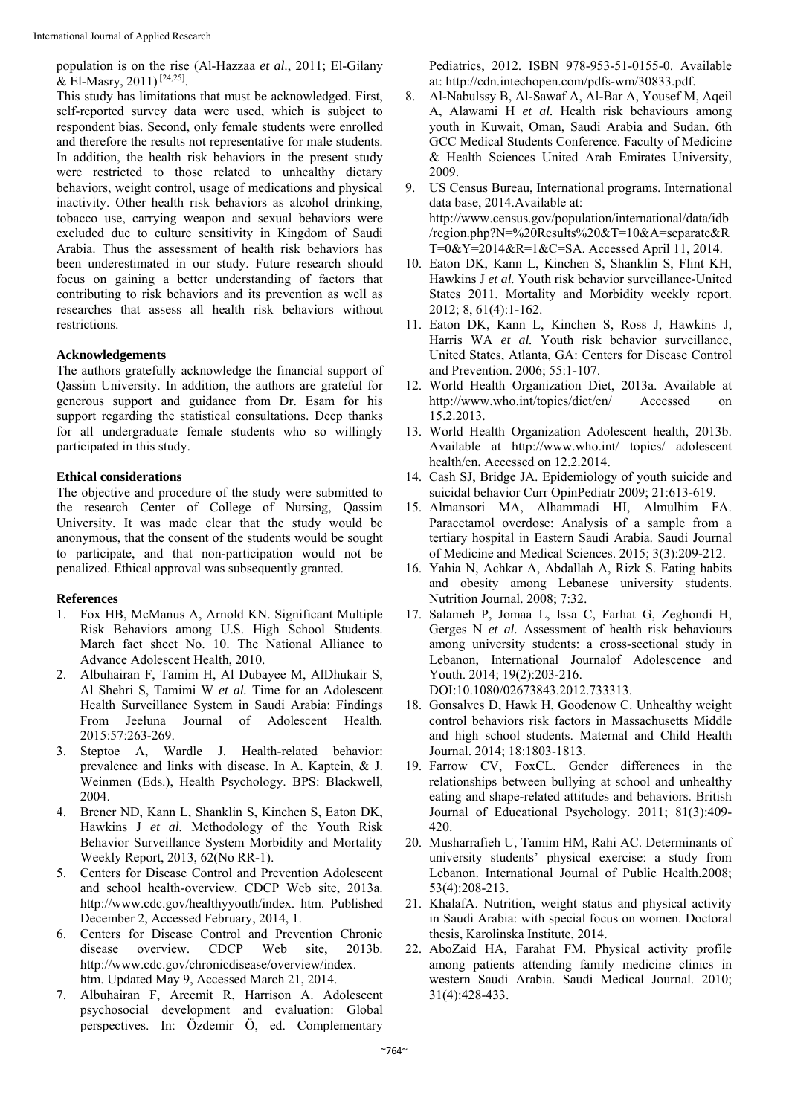population is on the rise (Al-Hazzaa *et al*., 2011; El-Gilany & El-Masry, 2011)<sup>[24,25]</sup>.

This study has limitations that must be acknowledged. First, self-reported survey data were used, which is subject to respondent bias. Second, only female students were enrolled and therefore the results not representative for male students. In addition, the health risk behaviors in the present study were restricted to those related to unhealthy dietary behaviors, weight control, usage of medications and physical inactivity. Other health risk behaviors as alcohol drinking, tobacco use, carrying weapon and sexual behaviors were excluded due to culture sensitivity in Kingdom of Saudi Arabia. Thus the assessment of health risk behaviors has been underestimated in our study. Future research should focus on gaining a better understanding of factors that contributing to risk behaviors and its prevention as well as researches that assess all health risk behaviors without restrictions.

#### **Acknowledgements**

The authors gratefully acknowledge the financial support of Qassim University. In addition, the authors are grateful for generous support and guidance from Dr. Esam for his support regarding the statistical consultations. Deep thanks for all undergraduate female students who so willingly participated in this study.

### **Ethical considerations**

The objective and procedure of the study were submitted to the research Center of College of Nursing, Qassim University. It was made clear that the study would be anonymous, that the consent of the students would be sought to participate, and that non-participation would not be penalized. Ethical approval was subsequently granted.

# **References**

- 1. Fox HB, McManus A, Arnold KN. Significant Multiple Risk Behaviors among U.S. High School Students. March fact sheet No. 10. The National Alliance to Advance Adolescent Health, 2010.
- 2. Albuhairan F, Tamim H, Al Dubayee M, AlDhukair S, Al Shehri S, Tamimi W *et al.* Time for an Adolescent Health Surveillance System in Saudi Arabia: Findings From Jeeluna Journal of Adolescent Health*.*  2015:57:263-269.
- 3. Steptoe A, Wardle J. Health-related behavior: prevalence and links with disease. In A. Kaptein, & J. Weinmen (Eds.), Health Psychology. BPS: Blackwell, 2004.
- 4. Brener ND, Kann L, Shanklin S, Kinchen S, Eaton DK, Hawkins J *et al.* Methodology of the Youth Risk Behavior Surveillance System Morbidity and Mortality Weekly Report, 2013, 62(No RR-1).
- 5. Centers for Disease Control and Prevention Adolescent and school health-overview. CDCP Web site, 2013a. http://www.cdc.gov/healthyyouth/index. htm. Published December 2, Accessed February, 2014, 1.
- 6. Centers for Disease Control and Prevention Chronic disease overview. CDCP Web site, 2013b. http://www.cdc.gov/chronicdisease/overview/index. htm. Updated May 9, Accessed March 21, 2014.
- 7. Albuhairan F, Areemit R, Harrison A. Adolescent psychosocial development and evaluation: Global perspectives. In: Özdemir Ö, ed. Complementary

Pediatrics, 2012. ISBN 978-953-51-0155-0. Available at: http://cdn.intechopen.com/pdfs-wm/30833.pdf.

- 8. Al-Nabulssy B, Al-Sawaf A, Al-Bar A, Yousef M, Aqeil A, Alawami H *et al.* Health risk behaviours among youth in Kuwait, Oman, Saudi Arabia and Sudan. 6th GCC Medical Students Conference. Faculty of Medicine & Health Sciences United Arab Emirates University, 2009.
- 9. US Census Bureau, International programs. International data base, 2014.Available at: http://www.census.gov/population/international/data/idb /region.php?N=%20Results%20&T=10&A=separate&R T=0&Y=2014&R=1&C=SA. Accessed April 11, 2014.
- 10. Eaton DK, Kann L, Kinchen S, Shanklin S, Flint KH, Hawkins J *et al.* Youth risk behavior surveillance-United States 2011. Mortality and Morbidity weekly report. 2012; 8, 61(4):1-162.
- 11. Eaton DK, Kann L, Kinchen S, Ross J, Hawkins J, Harris WA et al. Youth risk behavior surveillance, United States, Atlanta, GA: Centers for Disease Control and Prevention. 2006; 55:1-107.
- 12. World Health Organization Diet, 2013a. Available at http://www.who.int/topics/diet/en/ Accessed on 15.2.2013.
- 13. World Health Organization Adolescent health, 2013b. Available at http://www.who.int/ topics/ adolescent health/en**.** Accessed on 12.2.2014.
- 14. Cash SJ, Bridge JA. Epidemiology of youth suicide and suicidal behavior Curr OpinPediatr 2009; 21:613-619.
- 15. Almansori MA, Alhammadi HI, Almulhim FA. Paracetamol overdose: Analysis of a sample from a tertiary hospital in Eastern Saudi Arabia. Saudi Journal of Medicine and Medical Sciences. 2015; 3(3):209-212.
- 16. Yahia N, Achkar A, Abdallah A, Rizk S. Eating habits and obesity among Lebanese university students. Nutrition Journal. 2008; 7:32.
- 17. Salameh P, Jomaa L, Issa C, Farhat G, Zeghondi H, Gerges N *et al.* Assessment of health risk behaviours among university students: a cross-sectional study in Lebanon, International Journalof Adolescence and Youth. 2014; 19(2):203-216. DOI:10.1080/02673843.2012.733313.
- 18. Gonsalves D, Hawk H, Goodenow C. Unhealthy weight control behaviors risk factors in Massachusetts Middle and high school students. Maternal and Child Health Journal. 2014; 18:1803-1813.
- 19. Farrow CV, FoxCL. Gender differences in the relationships between bullying at school and unhealthy eating and shape-related attitudes and behaviors. British Journal of Educational Psychology. 2011; 81(3):409- 420.
- 20. Musharrafieh U, Tamim HM, Rahi AC. Determinants of university students' physical exercise: a study from Lebanon. International Journal of Public Health.2008; 53(4):208-213.
- 21. KhalafA. Nutrition, weight status and physical activity in Saudi Arabia: with special focus on women. Doctoral thesis, Karolinska Institute, 2014.
- 22. AboZaid HA, Farahat FM. Physical activity profile among patients attending family medicine clinics in western Saudi Arabia. Saudi Medical Journal. 2010; 31(4):428-433.